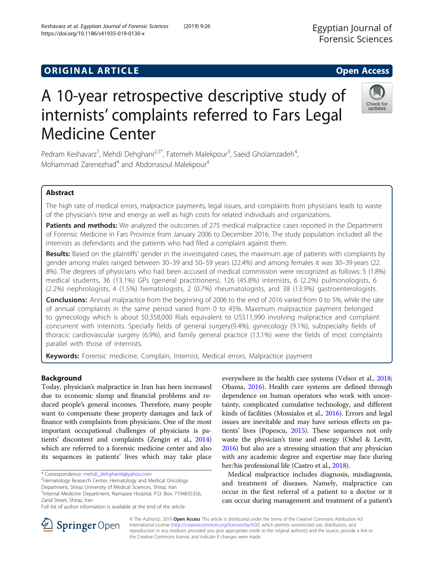# **ORIGINAL ARTICLE CONSERVANCE IN A LOCAL CONSERVANCE IN A LOCAL CONSERVANCE IN A LOCAL CONSERVANCE IN A LOCAL CONS**

# A 10-year retrospective descriptive study of internists' complaints referred to Fars Legal Medicine Center

Pedram Keshavarz<sup>1</sup>, Mehdi Dehghani<sup>2,5\*</sup>, Fatemeh Malekpour<sup>3</sup>, Saeid Gholamzadeh<sup>4</sup> , Mohammad Zarenezhad<sup>4</sup> and Abdorrasoul Malekpour<sup>4</sup>

# Abstract

The high rate of medical errors, malpractice payments, legal issues, and complaints from physicians leads to waste of the physician's time and energy as well as high costs for related individuals and organizations.

Patients and methods: We analyzed the outcomes of 275 medical malpractice cases reported in the Department of Forensic Medicine in Fars Province from January 2006 to December 2016. The study population included all the internists as defendants and the patients who had filed a complaint against them.

Results: Based on the plaintiffs' gender in the investigated cases, the maximum age of patients with complaints by gender among males ranged between 30–39 and 50–59 years (22.4%) and among females it was 30–39 years (22. 8%). The degrees of physicians who had been accused of medical commission were recognized as follows: 5 (1.8%) medical students, 36 (13.1%) GPs (general practitioners), 126 (45.8%) internists, 6 (2.2%) pulmonologists, 6 (2.2%) nephrologists, 4 (1.5%) hematologists, 2 (0.7%) rheumatologists, and 38 (13.9%) gastroenterologists.

**Conclusions:** Annual malpractice from the beginning of 2006 to the end of 2016 varied from 0 to 5%, while the rate of annual complaints in the same period varied from 0 to 45%. Maximum malpractice payment belonged to gynecology which is about 50,358,000 Rials equivalent to US\$11,990 involving malpractice and complaint concurrent with internists. Specially fields of general surgery(9.4%), gynecology (9.1%), subspecialty fields of thoracic cardiovascular surgery (6.9%), and family general practice (13.1%) were the fields of most complaints parallel with those of internists.

Keywords: Forensic medicine, Complain, Internist, Medical errors, Malpractice payment

the Creative Commons license, and indicate if changes were made.

## Background

Today, physician's malpractice in Iran has been increased due to economic slump and financial problems and reduced people's general incomes. Therefore, many people want to compensate these property damages and lack of finance with complaints from physicians. One of the most important occupational challenges of physicians is patients' discontent and complaints (Zengin et al., [2014](#page-5-0)) which are referred to a forensic medicine center and also its sequences in patients' lives which may take place

\* Correspondence: [mehdi\\_dehghani6@yahoo.com](mailto:mehdi_dehghani6@yahoo.com) <sup>2</sup>

<sup>2</sup>Hematology Research Center, Hematology and Medical Oncology

Department, Shiraz University of Medical Sciences, Shiraz, Iran

5 Internal Medicine Department, Namazee Hospital, P.O. Box: 7194835356, Zand Street, Shiraz, Iran

Full list of author information is available at the end of the article

everywhere in the health care systems (Velsor et al., [2018](#page-5-0); Obama, [2016\)](#page-5-0). Health care systems are defined through dependence on human operators who work with uncertainty, complicated cumulative technology, and different kinds of facilities (Mossialos et al., [2016\)](#page-5-0). Errors and legal issues are inevitable and may have serious effects on patients' lives (Popescu, [2015\)](#page-5-0). These sequences not only waste the physician's time and energy (Oshel & Levitt, [2016\)](#page-5-0) but also are a stressing situation that any physician with any academic degree and expertise may face during her/his professional life (Castro et al., [2018](#page-5-0)).

Medical malpractice includes diagnosis, misdiagnosis, and treatment of diseases. Namely, malpractice can occur in the first referral of a patient to a doctor or it can occur during management and treatment of a patient's

reproduction in any medium, provided you give appropriate credit to the original author(s) and the source, provide a link to







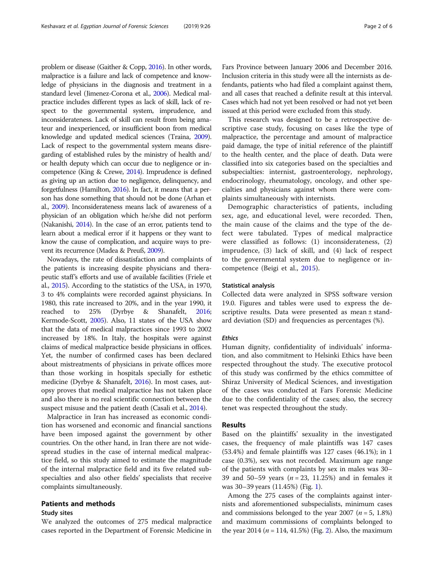problem or disease (Gaither & Copp, [2016\)](#page-5-0). In other words, malpractice is a failure and lack of competence and knowledge of physicians in the diagnosis and treatment in a standard level (Jimenez-Corona et al., [2006](#page-5-0)). Medical malpractice includes different types as lack of skill, lack of respect to the governmental system, imprudence, and inconsiderateness. Lack of skill can result from being amateur and inexperienced, or insufficient boon from medical knowledge and updated medical sciences (Traina, [2009](#page-5-0)). Lack of respect to the governmental system means disregarding of established rules by the ministry of health and/ or health deputy which can occur due to negligence or incompetence (King & Crewe, [2014](#page-5-0)). Imprudence is defined as giving up an action due to negligence, delinquency, and forgetfulness (Hamilton, [2016\)](#page-5-0). In fact, it means that a person has done something that should not be done (Arhan et al., [2009\)](#page-5-0). Inconsiderateness means lack of awareness of a physician of an obligation which he/she did not perform (Nakanishi, [2014](#page-5-0)). In the case of an error, patients tend to learn about a medical error if it happens or they want to know the cause of complication, and acquire ways to prevent its recurrence (Madea & Preuß, [2009](#page-5-0)).

Nowadays, the rate of dissatisfaction and complaints of the patients is increasing despite physicians and therapeutic staff's efforts and use of available facilities (Friele et al., [2015\)](#page-5-0). According to the statistics of the USA, in 1970, 3 to 4% complaints were recorded against physicians. In 1980, this rate increased to 20%, and in the year 1990, it reached to 25% (Dyrbye & Shanafelt, [2016](#page-5-0); Kermode-Scott, [2005](#page-5-0)). Also, 11 states of the USA show that the data of medical malpractices since 1993 to 2002 increased by 18%. In Italy, the hospitals were against claims of medical malpractice beside physicians in offices. Yet, the number of confirmed cases has been declared about mistreatments of physicians in private offices more than those working in hospitals specially for esthetic medicine (Dyrbye & Shanafelt, [2016](#page-5-0)). In most cases, autopsy proves that medical malpractice has not taken place and also there is no real scientific connection between the suspect misuse and the patient death (Casali et al., [2014](#page-5-0)).

Malpractice in Iran has increased as economic condition has worsened and economic and financial sanctions have been imposed against the government by other countries. On the other hand, in Iran there are not widespread studies in the case of internal medical malpractice field, so this study aimed to estimate the magnitude of the internal malpractice field and its five related subspecialties and also other fields' specialists that receive complaints simultaneously.

# Patients and methods

#### Study sites

We analyzed the outcomes of 275 medical malpractice cases reported in the Department of Forensic Medicine in

Fars Province between January 2006 and December 2016. Inclusion criteria in this study were all the internists as defendants, patients who had filed a complaint against them, and all cases that reached a definite result at this interval. Cases which had not yet been resolved or had not yet been issued at this period were excluded from this study.

This research was designed to be a retrospective descriptive case study, focusing on cases like the type of malpractice, the percentage and amount of malpractice paid damage, the type of initial reference of the plaintiff to the health center, and the place of death. Data were classified into six categories based on the specialties and subspecialties: internist, gastroenterology, nephrology, endocrinology, rheumatology, oncology, and other specialties and physicians against whom there were complaints simultaneously with internists.

Demographic characteristics of patients, including sex, age, and educational level, were recorded. Then, the main cause of the claims and the type of the defect were tabulated. Types of medical malpractice were classified as follows: (1) inconsiderateness, (2) imprudence, (3) lack of skill, and (4) lack of respect to the governmental system due to negligence or incompetence (Beigi et al., [2015](#page-5-0)).

#### Statistical analysis

Collected data were analyzed in SPSS software version 19.0. Figures and tables were used to express the descriptive results. Data were presented as mean ± standard deviation (SD) and frequencies as percentages (%).

#### Ethics

Human dignity, confidentiality of individuals' information, and also commitment to Helsinki Ethics have been respected throughout the study. The executive protocol of this study was confirmed by the ethics committee of Shiraz University of Medical Sciences, and investigation of the cases was conducted at Fars Forensic Medicine due to the confidentiality of the cases; also, the secrecy tenet was respected throughout the study.

#### Results

Based on the plaintiffs' sexuality in the investigated cases, the frequency of male plaintiffs was 147 cases (53.4%) and female plaintiffs was 127 cases (46.1%); in 1 case (0.3%), sex was not recorded. Maximum age range of the patients with complaints by sex in males was 30– 39 and 50–59 years ( $n = 23$ , 11.25%) and in females it was 30–39 years (11.45%) (Fig. [1](#page-2-0)).

Among the 275 cases of the complaints against internists and aforementioned subspecialists, minimum cases and commissions belonged to the year 2007 ( $n = 5$ , 1.8%) and maximum commissions of complaints belonged to the year 2014 ( $n = 114, 41.5\%$ ) (Fig. [2\)](#page-2-0). Also, the maximum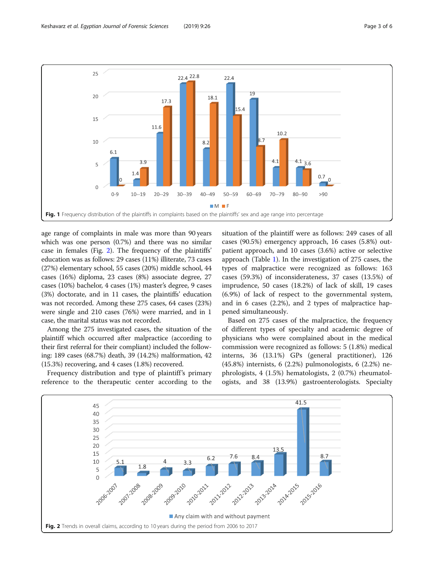<span id="page-2-0"></span>

age range of complaints in male was more than 90 years which was one person (0.7%) and there was no similar case in females (Fig. 2). The frequency of the plaintiffs' education was as follows: 29 cases (11%) illiterate, 73 cases (27%) elementary school, 55 cases (20%) middle school, 44 cases (16%) diploma, 23 cases (8%) associate degree, 27 cases (10%) bachelor, 4 cases (1%) master's degree, 9 cases (3%) doctorate, and in 11 cases, the plaintiffs' education was not recorded. Among these 275 cases, 64 cases (23%) were single and 210 cases (76%) were married, and in 1 case, the marital status was not recorded.

Among the 275 investigated cases, the situation of the plaintiff which occurred after malpractice (according to their first referral for their compliant) included the following: 189 cases (68.7%) death, 39 (14.2%) malformation, 42 (15.3%) recovering, and 4 cases (1.8%) recovered.

Frequency distribution and type of plaintiff's primary reference to the therapeutic center according to the

situation of the plaintiff were as follows: 249 cases of all cases (90.5%) emergency approach, 16 cases (5.8%) outpatient approach, and 10 cases (3.6%) active or selective approach (Table [1](#page-3-0)). In the investigation of 275 cases, the types of malpractice were recognized as follows: 163 cases (59.3%) of inconsiderateness, 37 cases (13.5%) of imprudence, 50 cases (18.2%) of lack of skill, 19 cases (6.9%) of lack of respect to the governmental system, and in 6 cases (2.2%), and 2 types of malpractice happened simultaneously.

Based on 275 cases of the malpractice, the frequency of different types of specialty and academic degree of physicians who were complained about in the medical commission were recognized as follows: 5 (1.8%) medical interns, 36 (13.1%) GPs (general practitioner), 126 (45.8%) internists, 6 (2.2%) pulmonologists, 6 (2.2%) nephrologists, 4 (1.5%) hematologists, 2 (0.7%) rheumatologists, and 38 (13.9%) gastroenterologists. Specialty

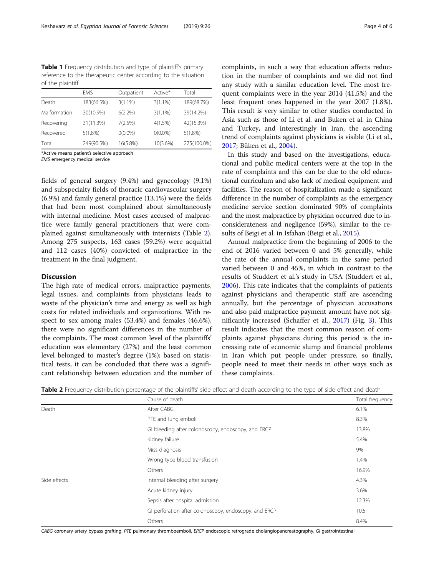<span id="page-3-0"></span>Table 1 Frequency distribution and type of plaintiff's primary reference to the therapeutic center according to the situation of the plaintiff

|              | <b>FMS</b> | Outpatient | Active*    | Total       |
|--------------|------------|------------|------------|-------------|
| Death        | 183(66.5%) | $3(1.1\%)$ | $3(1.1\%)$ | 189(68.7%)  |
| Malformation | 30(10.9%)  | $6(2.2\%)$ | $3(1.1\%)$ | 39(14.2%)   |
| Recovering   | 31(11.3%)  | 7(2.5%)    | $4(1.5\%)$ | 42(15.3%)   |
| Recovered    | $5(1.8\%)$ | $O(0.0\%)$ | $0(0.0\%)$ | $5(1.8\%)$  |
| Total        | 249(90.5%) | 16(5.8%)   | 10(3.6%)   | 275(100.0%) |
|              |            |            |            |             |

\*Active means patient's selective approach

EMS emergency medical service

fields of general surgery (9.4%) and gynecology (9.1%) and subspecialty fields of thoracic cardiovascular surgery (6.9%) and family general practice (13.1%) were the fields that had been most complained about simultaneously with internal medicine. Most cases accused of malpractice were family general practitioners that were complained against simultaneously with internists (Table 2). Among 275 suspects, 163 cases (59.2%) were acquittal and 112 cases (40%) convicted of malpractice in the treatment in the final judgment.

#### **Discussion**

The high rate of medical errors, malpractice payments, legal issues, and complaints from physicians leads to waste of the physician's time and energy as well as high costs for related individuals and organizations. With respect to sex among males (53.4%) and females (46.6%), there were no significant differences in the number of the complaints. The most common level of the plaintiffs' education was elementary (27%) and the least common level belonged to master's degree (1%); based on statistical tests, it can be concluded that there was a significant relationship between education and the number of complaints, in such a way that education affects reduction in the number of complaints and we did not find any study with a similar education level. The most frequent complaints were in the year 2014 (41.5%) and the least frequent ones happened in the year 2007 (1.8%). This result is very similar to other studies conducted in Asia such as those of Li et al. and Buken et al. in China and Turkey, and interestingly in Iran, the ascending trend of complaints against physicians is visible (Li et al., [2017](#page-5-0); Büken et al., [2004\)](#page-5-0).

In this study and based on the investigations, educational and public medical centers were at the top in the rate of complaints and this can be due to the old educational curriculum and also lack of medical equipment and facilities. The reason of hospitalization made a significant difference in the number of complaints as the emergency medicine service section dominated 90% of complaints and the most malpractice by physician occurred due to inconsiderateness and negligence (59%), similar to the results of Beigi et al. in Isfahan (Beigi et al., [2015\)](#page-5-0).

Annual malpractice from the beginning of 2006 to the end of 2016 varied between 0 and 5% generally, while the rate of the annual complaints in the same period varied between 0 and 45%, in which in contrast to the results of Studdert et al.'s study in USA (Studdert et al., [2006](#page-5-0)). This rate indicates that the complaints of patients against physicians and therapeutic staff are ascending annually, but the percentage of physician accusations and also paid malpractice payment amount have not significantly increased (Schaffer et al., [2017\)](#page-5-0) (Fig. [3\)](#page-4-0). This result indicates that the most common reason of complaints against physicians during this period is the increasing rate of economic slump and financial problems in Iran which put people under pressure, so finally, people need to meet their needs in other ways such as these complaints.

|  |  | Table 2 Frequency distribution percentage of the plaintiffs' side effect and death according to the type of side effect and death |  |
|--|--|-----------------------------------------------------------------------------------------------------------------------------------|--|
|--|--|-----------------------------------------------------------------------------------------------------------------------------------|--|

|              | Cause of death                                        | Total frequency |
|--------------|-------------------------------------------------------|-----------------|
| Death        | After CABG                                            | 6.1%            |
|              | PTE and lung emboli                                   | 8.3%            |
|              | GI bleeding after colonoscopy, endoscopy, and ERCP    | 13.8%           |
|              | Kidney failure                                        | 5.4%            |
|              | Miss diagnosis                                        | 9%              |
|              | Wrong type blood transfusion                          | 1.4%            |
|              | Others                                                | 16.9%           |
| Side effects | Internal bleeding after surgery                       | 4.3%            |
|              | Acute kidney injury                                   | 3.6%            |
|              | Sepsis after hospital admission                       | 12.3%           |
|              | GI perforation after colonoscopy, endoscopy, and ERCP | 10.5            |
|              | Others                                                | 8.4%            |

CABG coronary artery bypass grafting, PTE pulmonary thromboemboli, ERCP endoscopic retrograde cholangiopancreatography, GI gastrointestinal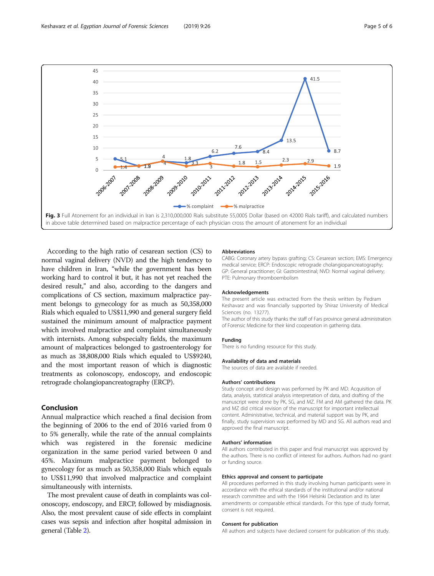<span id="page-4-0"></span>

According to the high ratio of cesarean section (CS) to normal vaginal delivery (NVD) and the high tendency to have children in Iran, "while the government has been working hard to control it but, it has not yet reached the desired result," and also, according to the dangers and complications of CS section, maximum malpractice payment belongs to gynecology for as much as 50,358,000 Rials which equaled to US\$11,990 and general surgery field sustained the minimum amount of malpractice payment which involved malpractice and complaint simultaneously with internists. Among subspecialty fields, the maximum amount of malpractices belonged to gastroenterology for as much as 38,808,000 Rials which equaled to US\$9240, and the most important reason of which is diagnostic treatments as colonoscopy, endoscopy, and endoscopic retrograde cholangiopancreatography (ERCP).

## Conclusion

Annual malpractice which reached a final decision from the beginning of 2006 to the end of 2016 varied from 0 to 5% generally, while the rate of the annual complaints which was registered in the forensic medicine organization in the same period varied between 0 and 45%. Maximum malpractice payment belonged to gynecology for as much as 50,358,000 Rials which equals to US\$11,990 that involved malpractice and complaint simultaneously with internists.

The most prevalent cause of death in complaints was colonoscopy, endoscopy, and ERCP, followed by misdiagnosis. Also, the most prevalent cause of side effects in complaint cases was sepsis and infection after hospital admission in general (Table [2](#page-3-0)).

#### Abbreviations

CABG: Coronary artery bypass grafting; CS: Cesarean section; EMS: Emergency medical service; ERCP: Endoscopic retrograde cholangiopancreatography; GP: General practitioner; GI: Gastrointestinal; NVD: Normal vaginal delivery; PTE: Pulmonary thromboembolism

#### Acknowledgements

The present article was extracted from the thesis written by Pedram Keshavarz and was financially supported by Shiraz University of Medical Sciences (no. 13277).

The author of this study thanks the staff of Fars province general administration of Forensic Medicine for their kind cooperation in gathering data.

#### Funding

There is no funding resource for this study.

#### Availability of data and materials

The sources of data are available if needed.

#### Authors' contributions

Study concept and design was performed by PK and MD. Acquisition of data, analysis, statistical analysis interpretation of data, and drafting of the manuscript were done by PK, SG, and MZ. FM and AM gathered the data. PK and MZ did critical revision of the manuscript for important intellectual content. Administrative, technical, and material support was by PK, and finally, study supervision was performed by MD and SG. All authors read and approved the final manuscript.

#### Authors' information

All authors contributed in this paper and final manuscript was approved by the authors. There is no conflict of interest for authors. Authors had no grant or funding source.

#### Ethics approval and consent to participate

All procedures performed in this study involving human participants were in accordance with the ethical standards of the institutional and/or national research committee and with the 1964 Helsinki Declaration and its later amendments or comparable ethical standards. For this type of study format, consent is not required.

#### Consent for publication

All authors and subjects have declared consent for publication of this study.